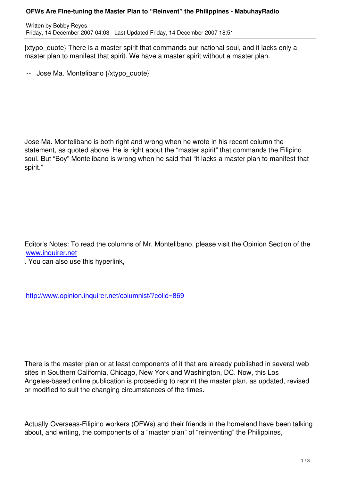{xtypo\_quote} There is a master spirit that commands our national soul, and it lacks only a master plan to manifest that spirit. We have a master spirit without a master plan.

-- Jose Ma. Montelibano {/xtypo\_quote}

Jose Ma. Montelibano is both right and wrong when he wrote in his recent column the statement, as quoted above. He is right about the "master spirit" that commands the Filipino soul. But "Boy" Montelibano is wrong when he said that "it lacks a master plan to manifest that spirit."

Editor's Notes: To read the columns of Mr. Montelibano, please visit the Opinion Section of the www.inquirer.net

. You can also use this hyperlink,

http://www.opinion.inquirer.net/columnist/?colid=869

There is the master plan or at least components of it that are already published in several web sites in Southern California, Chicago, New York and Washington, DC. Now, this Los Angeles-based online publication is proceeding to reprint the master plan, as updated, revised or modified to suit the changing circumstances of the times.

Actually Overseas-Filipino workers (OFWs) and their friends in the homeland have been talking about, and writing, the components of a "master plan" of "reinventing" the Philippines,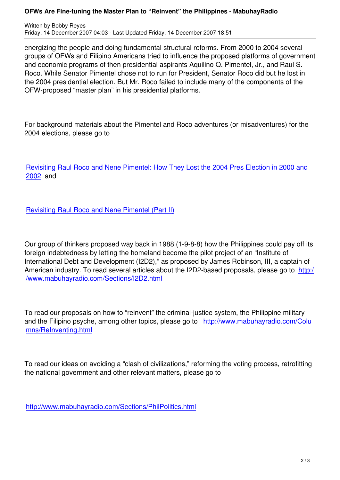energizing the people and doing fundamental structural reforms. From 2000 to 2004 several groups of OFWs and Filipino Americans tried to influence the proposed platforms of government and economic programs of then presidential aspirants Aquilino Q. Pimentel, Jr., and Raul S. Roco. While Senator Pimentel chose not to run for President, Senator Roco did but he lost in the 2004 presidential election. But Mr. Roco failed to include many of the components of the OFW-proposed "master plan" in his presidential platforms.

For background materials about the Pimentel and Roco adventures (or misadventures) for the 2004 elections, please go to

Revisiting Raul Roco and Nene Pimentel: How They Lost the 2004 Pres Election in 2000 and 2002 and

[Revis](content/view/346/51/)iting Raul Roco and Nene Pimentel (Part II)

[Our group of thinkers proposed way back in 1988](content/view/348/51/) (1-9-8-8) how the Philippines could pay off its foreign indebtedness by letting the homeland become the pilot project of an "Institute of International Debt and Development (I2D2)," as proposed by James Robinson, III, a captain of American industry. To read several articles about the I2D2-based proposals, please go to http:/ /www.mabuhayradio.com/Sections/I2D2.html

[To read our proposals on how to "reinvent" the](Sections/I2D2.html) criminal-justice system, the Philippine military and the Filipino psyche, among other topics, please go to http://www.mabuhayradio.com/Colu mns/ReInventing.html

[To read our ideas on a](Columns/ReInventing.html)voiding a "clash of civilizations," reforming the voting process, retrofitting the national government and other relevant matters, please go to

http://www.mabuhayradio.com/Sections/PhilPolitics.html